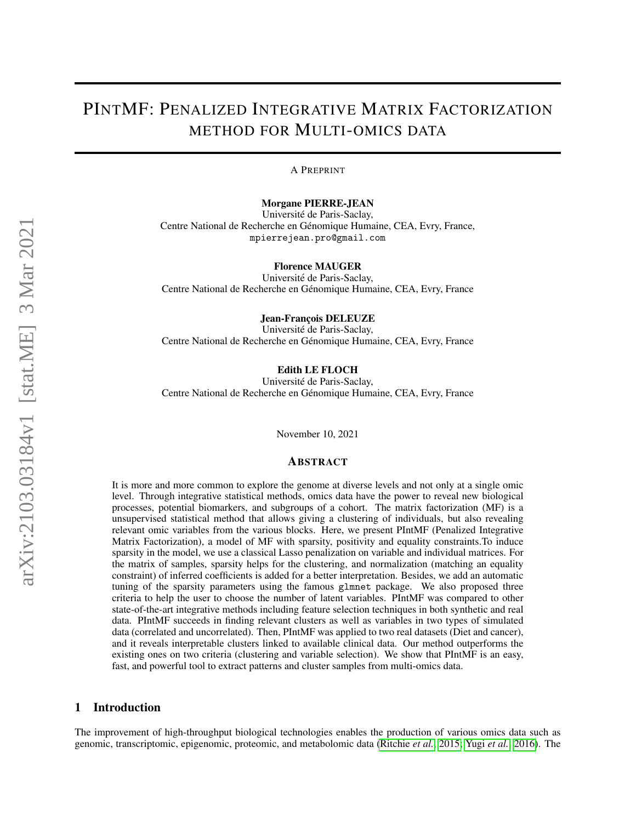# PINTMF: PENALIZED INTEGRATIVE MATRIX FACTORIZATION METHOD FOR MULTI-OMICS DATA

A PREPRINT

Morgane PIERRE-JEAN

Universite de Paris-Saclay, ´ Centre National de Recherche en Genomique Humaine, CEA, Evry, France, ´ mpierrejean.pro@gmail.com

Florence MAUGER

Universite de Paris-Saclay, ´ Centre National de Recherche en Génomique Humaine, CEA, Evry, France

Jean-François DELEUZE

Universite de Paris-Saclay, ´ Centre National de Recherche en Génomique Humaine, CEA, Evry, France

Edith LE FLOCH

Universite de Paris-Saclay, ´ Centre National de Recherche en Génomique Humaine, CEA, Evry, France

November 10, 2021

#### ABSTRACT

It is more and more common to explore the genome at diverse levels and not only at a single omic level. Through integrative statistical methods, omics data have the power to reveal new biological processes, potential biomarkers, and subgroups of a cohort. The matrix factorization (MF) is a unsupervised statistical method that allows giving a clustering of individuals, but also revealing relevant omic variables from the various blocks. Here, we present PIntMF (Penalized Integrative Matrix Factorization), a model of MF with sparsity, positivity and equality constraints.To induce sparsity in the model, we use a classical Lasso penalization on variable and individual matrices. For the matrix of samples, sparsity helps for the clustering, and normalization (matching an equality constraint) of inferred coefficients is added for a better interpretation. Besides, we add an automatic tuning of the sparsity parameters using the famous glmnet package. We also proposed three criteria to help the user to choose the number of latent variables. PIntMF was compared to other state-of-the-art integrative methods including feature selection techniques in both synthetic and real data. PIntMF succeeds in finding relevant clusters as well as variables in two types of simulated data (correlated and uncorrelated). Then, PIntMF was applied to two real datasets (Diet and cancer), and it reveals interpretable clusters linked to available clinical data. Our method outperforms the existing ones on two criteria (clustering and variable selection). We show that PIntMF is an easy, fast, and powerful tool to extract patterns and cluster samples from multi-omics data.

# 1 Introduction

The improvement of high-throughput biological technologies enables the production of various omics data such as genomic, transcriptomic, epigenomic, proteomic, and metabolomic data [\(Ritchie](#page-12-0) *et al.*, [2015;](#page-12-0) Yugi *[et al.](#page-13-0)*, [2016\)](#page-13-0). The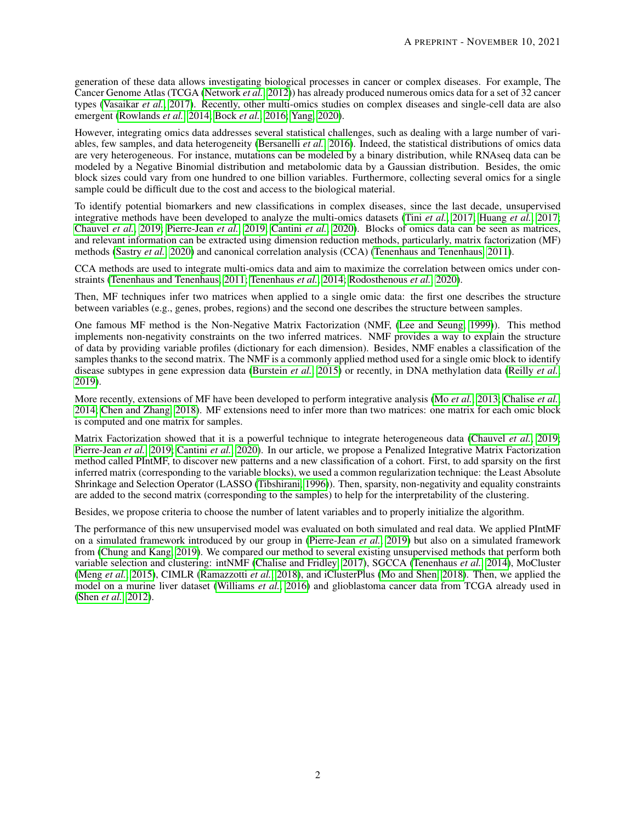generation of these data allows investigating biological processes in cancer or complex diseases. For example, The Cancer Genome Atlas (TCGA [\(Network](#page-12-1) *et al.*, [2012\)](#page-12-1)) has already produced numerous omics data for a set of 32 cancer types [\(Vasaikar](#page-12-2) *et al.*, [2017\)](#page-12-2). Recently, other multi-omics studies on complex diseases and single-cell data are also emergent [\(Rowlands](#page-12-3) *et al.*, [2014;](#page-12-3) [Bock](#page-11-0) *et al.*, [2016;](#page-11-0) [Yang, 2020\)](#page-13-1).

However, integrating omics data addresses several statistical challenges, such as dealing with a large number of variables, few samples, and data heterogeneity [\(Bersanelli](#page-11-1) *et al.*, [2016\)](#page-11-1). Indeed, the statistical distributions of omics data are very heterogeneous. For instance, mutations can be modeled by a binary distribution, while RNAseq data can be modeled by a Negative Binomial distribution and metabolomic data by a Gaussian distribution. Besides, the omic block sizes could vary from one hundred to one billion variables. Furthermore, collecting several omics for a single sample could be difficult due to the cost and access to the biological material.

To identify potential biomarkers and new classifications in complex diseases, since the last decade, unsupervised integrative methods have been developed to analyze the multi-omics datasets (Tini *[et al.](#page-12-4)*, [2017;](#page-12-4) [Huang](#page-12-5) *et al.*, [2017;](#page-12-5) [Chauvel](#page-11-2) *et al.*, [2019;](#page-11-2) [Pierre-Jean](#page-12-6) *et al.*, [2019;](#page-12-6) [Cantini](#page-11-3) *et al.*, [2020\)](#page-11-3). Blocks of omics data can be seen as matrices, and relevant information can be extracted using dimension reduction methods, particularly, matrix factorization (MF) methods [\(Sastry](#page-12-7) *et al.*, [2020\)](#page-12-7) and canonical correlation analysis (CCA) [\(Tenenhaus and Tenenhaus, 2011\)](#page-12-8).

CCA methods are used to integrate multi-omics data and aim to maximize the correlation between omics under constraints [\(Tenenhaus and Tenenhaus, 2011;](#page-12-8) [Tenenhaus](#page-12-9) *et al.*, [2014;](#page-12-9) [Rodosthenous](#page-12-10) *et al.*, [2020\)](#page-12-10).

Then, MF techniques infer two matrices when applied to a single omic data: the first one describes the structure between variables (e.g., genes, probes, regions) and the second one describes the structure between samples.

One famous MF method is the Non-Negative Matrix Factorization (NMF, [\(Lee and Seung, 1999\)](#page-12-11)). This method implements non-negativity constraints on the two inferred matrices. NMF provides a way to explain the structure of data by providing variable profiles (dictionary for each dimension). Besides, NMF enables a classification of the samples thanks to the second matrix. The NMF is a commonly applied method used for a single omic block to identify disease subtypes in gene expression data [\(Burstein](#page-11-4) *et al.*, [2015\)](#page-11-4) or recently, in DNA methylation data [\(Reilly](#page-12-12) *et al.*, [2019\)](#page-12-12).

More recently, extensions of MF have been developed to perform integrative analysis (Mo *[et al.](#page-12-13)*, [2013;](#page-12-13) [Chalise](#page-11-5) *et al.*, [2014;](#page-11-5) [Chen and Zhang, 2018\)](#page-11-6). MF extensions need to infer more than two matrices: one matrix for each omic block is computed and one matrix for samples.

Matrix Factorization showed that it is a powerful technique to integrate heterogeneous data [\(Chauvel](#page-11-2) *et al.*, [2019;](#page-11-2) [Pierre-Jean](#page-12-6) *et al.*, [2019;](#page-12-6) [Cantini](#page-11-3) *et al.*, [2020\)](#page-11-3). In our article, we propose a Penalized Integrative Matrix Factorization method called PIntMF, to discover new patterns and a new classification of a cohort. First, to add sparsity on the first inferred matrix (corresponding to the variable blocks), we used a common regularization technique: the Least Absolute Shrinkage and Selection Operator (LASSO [\(Tibshirani, 1996\)](#page-12-14)). Then, sparsity, non-negativity and equality constraints are added to the second matrix (corresponding to the samples) to help for the interpretability of the clustering.

Besides, we propose criteria to choose the number of latent variables and to properly initialize the algorithm.

The performance of this new unsupervised model was evaluated on both simulated and real data. We applied PIntMF on a simulated framework introduced by our group in [\(Pierre-Jean](#page-12-6) *et al.*, [2019\)](#page-12-6) but also on a simulated framework from [\(Chung and Kang, 2019\)](#page-11-7). We compared our method to several existing unsupervised methods that perform both variable selection and clustering: intNMF [\(Chalise and Fridley, 2017\)](#page-11-8), SGCCA [\(Tenenhaus](#page-12-9) *et al.*, [2014\)](#page-12-9), MoCluster [\(Meng](#page-12-15) *et al.*, [2015\)](#page-12-15), CIMLR [\(Ramazzotti](#page-12-16) *et al.*, [2018\)](#page-12-16), and iClusterPlus [\(Mo and Shen, 2018\)](#page-12-17). Then, we applied the model on a murine liver dataset [\(Williams](#page-13-2) *et al.*, [2016\)](#page-13-2) and glioblastoma cancer data from TCGA already used in [\(Shen](#page-12-18) *et al.*, [2012\)](#page-12-18).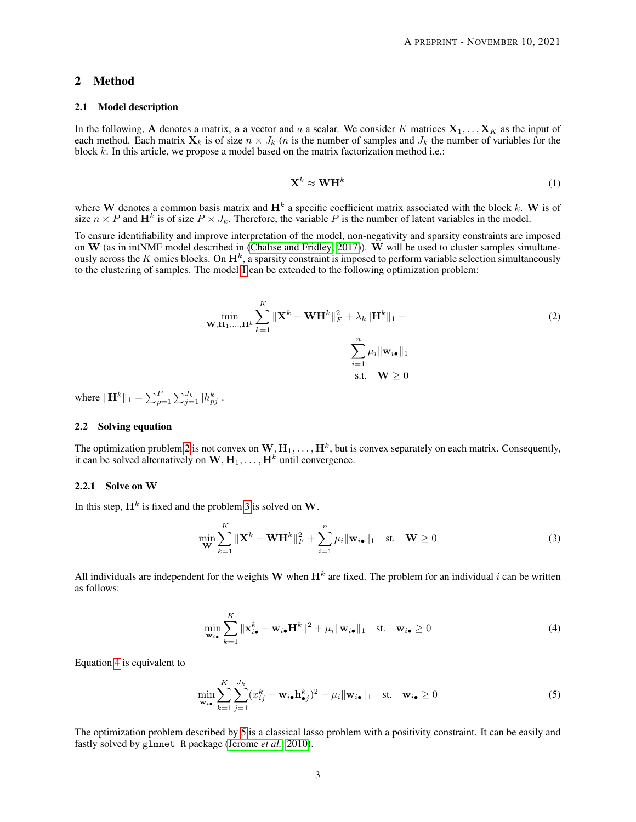## 2 Method

#### 2.1 Model description

<span id="page-2-0"></span>In the following, A denotes a matrix, a a vector and a a scalar. We consider K matrices  $X_1, \ldots X_K$  as the input of each method. Each matrix  $\mathbf{X}_k$  is of size  $n \times J_k$  (*n* is the number of samples and  $J_k$  the number of variables for the block k. In this article, we propose a model based on the matrix factorization method i.e.:

$$
\mathbf{X}^k \approx \mathbf{W} \mathbf{H}^k \tag{1}
$$

where W denotes a common basis matrix and  $H^k$  a specific coefficient matrix associated with the block k. W is of size  $n \times P$  and  $\mathbf{H}^k$  is of size  $P \times J_k$ . Therefore, the variable P is the number of latent variables in the model.

To ensure identifiability and improve interpretation of the model, non-negativity and sparsity constraints are imposed on  $W$  (as in intNMF model described in [\(Chalise and Fridley, 2017\)](#page-11-8)).  $\dot{W}$  will be used to cluster samples simultaneously across the K omics blocks. On  $\mathbf{H}^k$ , a sparsity constraint is imposed to perform variable selection simultaneously to the clustering of samples. The model [1](#page-2-0) can be extended to the following optimization problem:

<span id="page-2-1"></span>
$$
\min_{\mathbf{W}, \mathbf{H}_1, \dots, \mathbf{H}^k} \sum_{k=1}^K \|\mathbf{X}^k - \mathbf{W} \mathbf{H}^k\|_F^2 + \lambda_k \|\mathbf{H}^k\|_1 + \sum_{i=1}^n \mu_i \|\mathbf{w}_{i\bullet}\|_1
$$
\n
$$
\sum_{i=1}^n \mu_i \|\mathbf{w}_{i\bullet}\|_1
$$
\ns.t.

\n
$$
\mathbf{W} \ge 0
$$
\n(2)

where  $\|\mathbf{H}^{k}\|_{1} = \sum_{p=1}^{P} \sum_{j=1}^{J_{k}} |h_{pj}^{k}|.$ 

#### 2.2 Solving equation

The optimization problem [2](#page-2-1) is not convex on  $\mathbf{W},\mathbf{H}_1,\ldots,\mathbf{H}^k$ , but is convex separately on each matrix. Consequently, it can be solved alternatively on  $W, H_1, \ldots, H^k$  until convergence.

## 2.2.1 Solve on W

In this step,  $\mathbf{H}^{k}$  is fixed and the problem [3](#page-2-2) is solved on W.

<span id="page-2-2"></span>
$$
\min_{\mathbf{W}} \sum_{k=1}^{K} \|\mathbf{X}^{k} - \mathbf{W}\mathbf{H}^{k}\|_{F}^{2} + \sum_{i=1}^{n} \mu_{i} \|\mathbf{w}_{i\bullet}\|_{1} \quad \text{st.} \quad \mathbf{W} \ge 0
$$
\n(3)

<span id="page-2-3"></span>All individuals are independent for the weights W when  $H^k$  are fixed. The problem for an individual i can be written as follows:

$$
\min_{\mathbf{w}_{i\bullet}} \sum_{k=1}^{K} \|\mathbf{x}_{i\bullet}^k - \mathbf{w}_{i\bullet}\mathbf{H}^k\|^2 + \mu_i \|\mathbf{w}_{i\bullet}\|_1 \quad \text{st.} \quad \mathbf{w}_{i\bullet} \ge 0 \tag{4}
$$

Equation [4](#page-2-3) is equivalent to

<span id="page-2-4"></span>
$$
\min_{\mathbf{w}_{i\bullet}} \sum_{k=1}^{K} \sum_{j=1}^{J_k} (x_{ij}^k - \mathbf{w}_{i\bullet} \mathbf{h}_{\bullet j}^k)^2 + \mu_i \|\mathbf{w}_{i\bullet}\|_1 \quad \text{st.} \quad \mathbf{w}_{i\bullet} \ge 0
$$
\n(5)

The optimization problem described by [5](#page-2-4) is a classical lasso problem with a positivity constraint. It can be easily and fastly solved by glmnet R package [\(Jerome](#page-12-19) *et al.*, [2010\)](#page-12-19).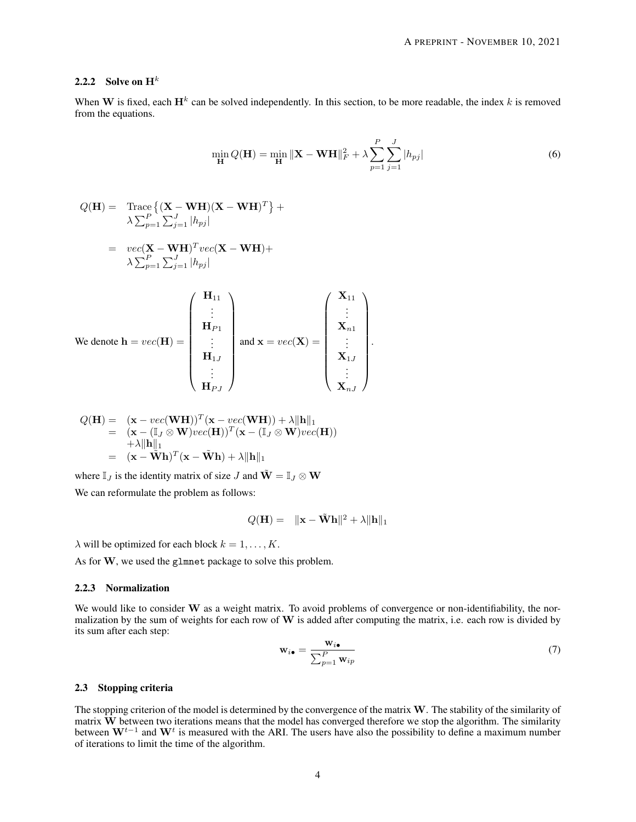## 2.2.2 Solve on  $H^k$

When W is fixed, each  $H^k$  can be solved independently. In this section, to be more readable, the index k is removed from the equations.

$$
\min_{\mathbf{H}} Q(\mathbf{H}) = \min_{\mathbf{H}} \|\mathbf{X} - \mathbf{W}\mathbf{H}\|_{F}^{2} + \lambda \sum_{p=1}^{P} \sum_{j=1}^{J} |h_{pj}|
$$
(6)

 $\setminus$ 

$$
Q(\mathbf{H}) = \operatorname{Trace}\left\{ (\mathbf{X} - \mathbf{W}\mathbf{H})(\mathbf{X} - \mathbf{W}\mathbf{H})^T \right\} +
$$
  
\n
$$
\lambda \sum_{p=1}^P \sum_{j=1}^J |h_{pj}|
$$
  
\n
$$
= \operatorname{vec}(\mathbf{X} - \mathbf{W}\mathbf{H})^T \operatorname{vec}(\mathbf{X} - \mathbf{W}\mathbf{H}) +
$$
  
\n
$$
\lambda \sum_{p=1}^P \sum_{j=1}^J |h_{pj}|
$$
  
\n
$$
(\mathbf{H}_{11})
$$

We denote 
$$
\mathbf{h} = vec(\mathbf{H}) = \begin{pmatrix} \vdots \\ \mathbf{H}_{P1} \\ \vdots \\ \mathbf{H}_{1J} \\ \vdots \\ \mathbf{H}_{PJ} \end{pmatrix}
$$
 and  $\mathbf{x} = vec(\mathbf{X}) = \begin{pmatrix} \vdots \\ \mathbf{X}_{n1} \\ \vdots \\ \mathbf{X}_{1J} \\ \vdots \\ \mathbf{X}_{nJ} \end{pmatrix}$ .

$$
Q(\mathbf{H}) = (\mathbf{x} - vec(\mathbf{W}\mathbf{H}))^T (\mathbf{x} - vec(\mathbf{W}\mathbf{H})) + \lambda ||\mathbf{h}||_1
$$
  
= (\mathbf{x} - (\mathbb{I}\_J \otimes \mathbf{W})vec(\mathbf{H}))^T (\mathbf{x} - (\mathbb{I}\_J \otimes \mathbf{W})vec(\mathbf{H}))  
+ \lambda ||\mathbf{h}||\_1  
= (\mathbf{x} - \widetilde{\mathbf{W}}\mathbf{h})^T (\mathbf{x} - \widetilde{\mathbf{W}}\mathbf{h}) + \lambda ||\mathbf{h}||\_1

where  $\mathbb{I}_I$  is the identity matrix of size J and  $\tilde{\mathbf{W}} = \mathbb{I}_I \otimes \mathbf{W}$ 

We can reformulate the problem as follows:

$$
Q(\mathbf{H}) = \|\mathbf{x} - \tilde{\mathbf{W}} \mathbf{h}\|^2 + \lambda \|\mathbf{h}\|_1
$$

 $\lambda$  will be optimized for each block  $k = 1, \ldots, K$ .

As for W, we used the glmnet package to solve this problem.

## 2.2.3 Normalization

We would like to consider W as a weight matrix. To avoid problems of convergence or non-identifiability, the normalization by the sum of weights for each row of  $W$  is added after computing the matrix, i.e. each row is divided by its sum after each step:

$$
\mathbf{w}_{i\bullet} = \frac{\mathbf{w}_{i\bullet}}{\sum_{p=1}^{P} \mathbf{w}_{ip}} \tag{7}
$$

#### 2.3 Stopping criteria

The stopping criterion of the model is determined by the convergence of the matrix  $W$ . The stability of the similarity of matrix  $\overline{W}$  between two iterations means that the model has converged therefore we stop the algorithm. The similarity between  $W^{t-1}$  and  $W^t$  is measured with the ARI. The users have also the possibility to define a maximum number of iterations to limit the time of the algorithm.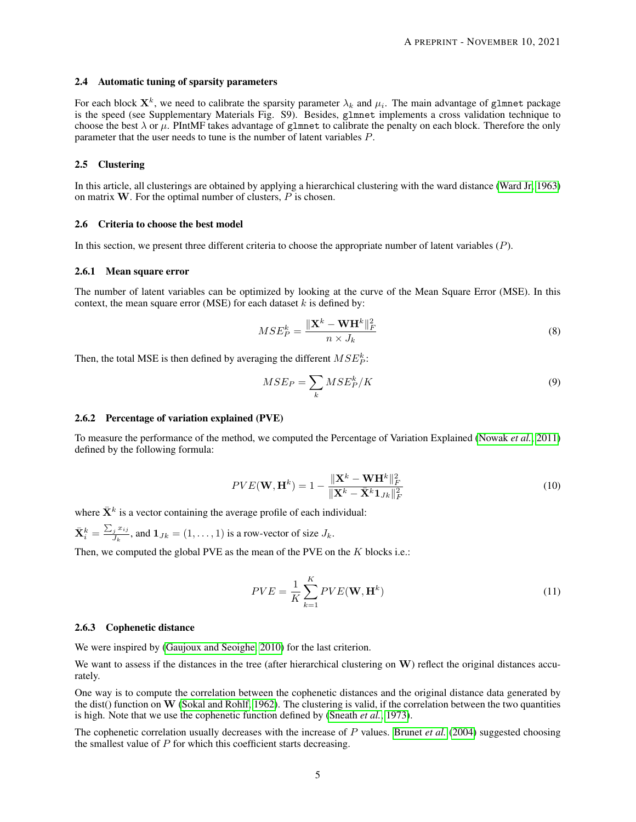#### 2.4 Automatic tuning of sparsity parameters

For each block  $\mathbf{X}^k$ , we need to calibrate the sparsity parameter  $\lambda_k$  and  $\mu_i$ . The main advantage of g1mnet package is the speed (see Supplementary Materials Fig. S9). Besides, glmnet implements a cross validation technique to choose the best  $\lambda$  or  $\mu$ . PIntMF takes advantage of glmnet to calibrate the penalty on each block. Therefore the only parameter that the user needs to tune is the number of latent variables P.

#### 2.5 Clustering

In this article, all clusterings are obtained by applying a hierarchical clustering with the ward distance [\(Ward Jr, 1963\)](#page-13-3) on matrix  $W$ . For the optimal number of clusters,  $P$  is chosen.

#### 2.6 Criteria to choose the best model

In this section, we present three different criteria to choose the appropriate number of latent variables (P).

#### 2.6.1 Mean square error

The number of latent variables can be optimized by looking at the curve of the Mean Square Error (MSE). In this context, the mean square error (MSE) for each dataset  $k$  is defined by:

$$
MSE_P^k = \frac{\|\mathbf{X}^k - \mathbf{W}\mathbf{H}^k\|_F^2}{n \times J_k}
$$
\n(8)

Then, the total MSE is then defined by averaging the different  $MSE^k_P$ :

$$
MSE_P = \sum_k MSE_P^k / K \tag{9}
$$

#### 2.6.2 Percentage of variation explained (PVE)

To measure the performance of the method, we computed the Percentage of Variation Explained [\(Nowak](#page-12-20) *et al.*, [2011\)](#page-12-20) defined by the following formula:

$$
PVE(\mathbf{W}, \mathbf{H}^{k}) = 1 - \frac{\|\mathbf{X}^{k} - \mathbf{W}\mathbf{H}^{k}\|_{F}^{2}}{\|\mathbf{X}^{k} - \bar{\mathbf{X}}^{k}\mathbf{1}_{Jk}\|_{F}^{2}}
$$
(10)

where  $\bar{X}^k$  is a vector containing the average profile of each individual:

 $\bar{\mathbf{X}}_i^k = \frac{\sum_j x_{ij}}{J_k}$  $\frac{j^{(k)}j^{(k)}}{J_k}$ , and  $\mathbf{1}_{J_k} = (1, \ldots, 1)$  is a row-vector of size  $J_k$ .

Then, we computed the global PVE as the mean of the PVE on the  $K$  blocks i.e.:

$$
PVE = \frac{1}{K} \sum_{k=1}^{K} PVE(\mathbf{W}, \mathbf{H}^{k})
$$
\n(11)

#### 2.6.3 Cophenetic distance

We were inspired by [\(Gaujoux and Seoighe, 2010\)](#page-12-21) for the last criterion.

We want to assess if the distances in the tree (after hierarchical clustering on  $W$ ) reflect the original distances accurately.

One way is to compute the correlation between the cophenetic distances and the original distance data generated by the dist() function on W [\(Sokal and Rohlf, 1962\)](#page-12-22). The clustering is valid, if the correlation between the two quantities is high. Note that we use the cophenetic function defined by [\(Sneath](#page-12-23) *et al.*, [1973\)](#page-12-23).

The cophenetic correlation usually decreases with the increase of P values. [Brunet](#page-11-9) *et al.* [\(2004\)](#page-11-9) suggested choosing the smallest value of P for which this coefficient starts decreasing.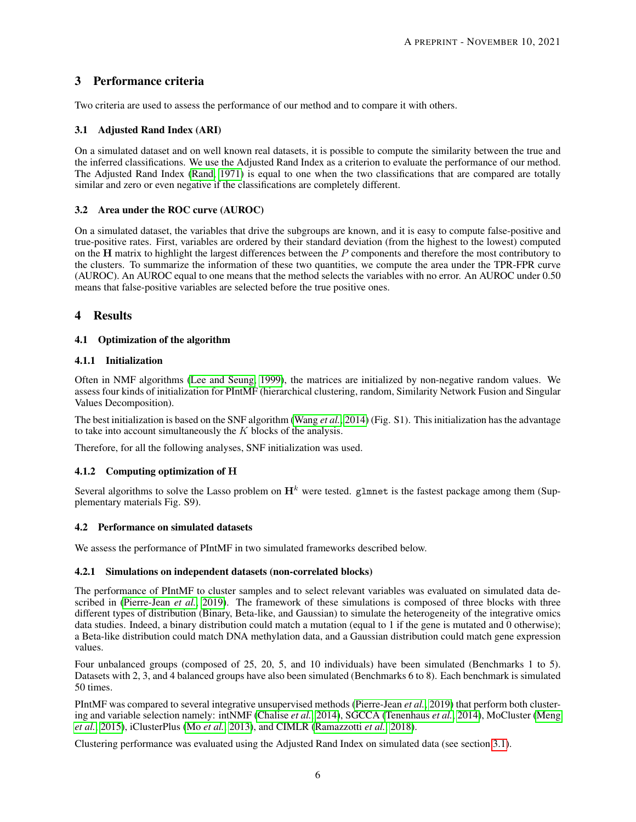# 3 Performance criteria

Two criteria are used to assess the performance of our method and to compare it with others.

## <span id="page-5-0"></span>3.1 Adjusted Rand Index (ARI)

On a simulated dataset and on well known real datasets, it is possible to compute the similarity between the true and the inferred classifications. We use the Adjusted Rand Index as a criterion to evaluate the performance of our method. The Adjusted Rand Index [\(Rand, 1971\)](#page-12-24) is equal to one when the two classifications that are compared are totally similar and zero or even negative if the classifications are completely different.

## <span id="page-5-1"></span>3.2 Area under the ROC curve (AUROC)

On a simulated dataset, the variables that drive the subgroups are known, and it is easy to compute false-positive and true-positive rates. First, variables are ordered by their standard deviation (from the highest to the lowest) computed on the  $H$  matrix to highlight the largest differences between the  $P$  components and therefore the most contributory to the clusters. To summarize the information of these two quantities, we compute the area under the TPR-FPR curve (AUROC). An AUROC equal to one means that the method selects the variables with no error. An AUROC under 0.50 means that false-positive variables are selected before the true positive ones.

# 4 Results

## 4.1 Optimization of the algorithm

## 4.1.1 Initialization

Often in NMF algorithms [\(Lee and Seung, 1999\)](#page-12-11), the matrices are initialized by non-negative random values. We assess four kinds of initialization for PIntMF (hierarchical clustering, random, Similarity Network Fusion and Singular Values Decomposition).

The best initialization is based on the SNF algorithm [\(Wang](#page-13-4) *et al.*, [2014\)](#page-13-4) (Fig. S1). This initialization has the advantage to take into account simultaneously the  $K$  blocks of the analysis.

Therefore, for all the following analyses, SNF initialization was used.

## 4.1.2 Computing optimization of H

Several algorithms to solve the Lasso problem on  $H<sup>k</sup>$  were tested. glmnet is the fastest package among them (Supplementary materials Fig. S9).

#### 4.2 Performance on simulated datasets

We assess the performance of PIntMF in two simulated frameworks described below.

#### 4.2.1 Simulations on independent datasets (non-correlated blocks)

The performance of PIntMF to cluster samples and to select relevant variables was evaluated on simulated data described in [\(Pierre-Jean](#page-12-6) *et al.*, [2019\)](#page-12-6). The framework of these simulations is composed of three blocks with three different types of distribution (Binary, Beta-like, and Gaussian) to simulate the heterogeneity of the integrative omics data studies. Indeed, a binary distribution could match a mutation (equal to 1 if the gene is mutated and 0 otherwise); a Beta-like distribution could match DNA methylation data, and a Gaussian distribution could match gene expression values.

Four unbalanced groups (composed of 25, 20, 5, and 10 individuals) have been simulated (Benchmarks 1 to 5). Datasets with 2, 3, and 4 balanced groups have also been simulated (Benchmarks 6 to 8). Each benchmark is simulated 50 times.

PIntMF was compared to several integrative unsupervised methods [\(Pierre-Jean](#page-12-6) *et al.*, [2019\)](#page-12-6) that perform both clustering and variable selection namely: intNMF [\(Chalise](#page-11-5) *et al.*, [2014\)](#page-11-5), SGCCA [\(Tenenhaus](#page-12-9) *et al.*, [2014\)](#page-12-9), MoCluster [\(Meng](#page-12-15) *[et al.](#page-12-15)*, [2015\)](#page-12-15), iClusterPlus (Mo *[et al.](#page-12-13)*, [2013\)](#page-12-13), and CIMLR [\(Ramazzotti](#page-12-16) *et al.*, [2018\)](#page-12-16).

Clustering performance was evaluated using the Adjusted Rand Index on simulated data (see section [3.1\)](#page-5-0).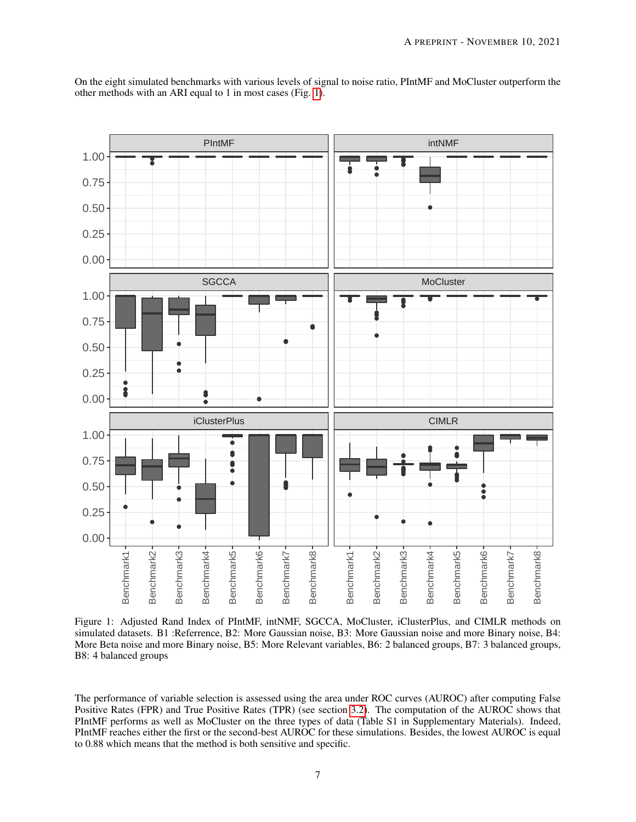<span id="page-6-0"></span>

On the eight simulated benchmarks with various levels of signal to noise ratio, PIntMF and MoCluster outperform the other methods with an ARI equal to 1 in most cases (Fig. [1\)](#page-6-0).

Figure 1: Adjusted Rand Index of PIntMF, intNMF, SGCCA, MoCluster, iClusterPlus, and CIMLR methods on simulated datasets. B1 :Referrence, B2: More Gaussian noise, B3: More Gaussian noise and more Binary noise, B4: More Beta noise and more Binary noise, B5: More Relevant variables, B6: 2 balanced groups, B7: 3 balanced groups, B8: 4 balanced groups

The performance of variable selection is assessed using the area under ROC curves (AUROC) after computing False Positive Rates (FPR) and True Positive Rates (TPR) (see section [3.2\)](#page-5-1). The computation of the AUROC shows that PIntMF performs as well as MoCluster on the three types of data (Table S1 in Supplementary Materials). Indeed, PIntMF reaches either the first or the second-best AUROC for these simulations. Besides, the lowest AUROC is equal to 0.88 which means that the method is both sensitive and specific.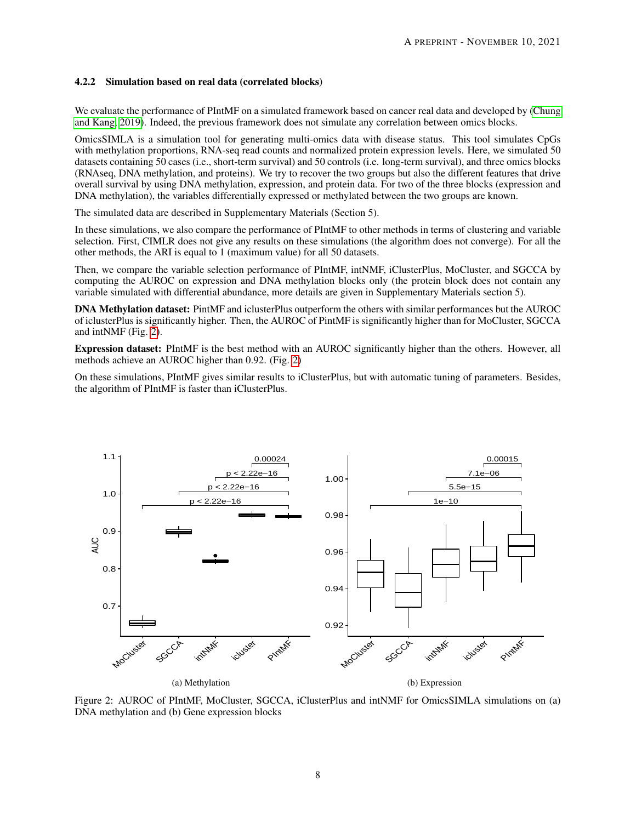## 4.2.2 Simulation based on real data (correlated blocks)

We evaluate the performance of PIntMF on a simulated framework based on cancer real data and developed by [\(Chung](#page-11-7) [and Kang, 2019\)](#page-11-7). Indeed, the previous framework does not simulate any correlation between omics blocks.

OmicsSIMLA is a simulation tool for generating multi-omics data with disease status. This tool simulates CpGs with methylation proportions, RNA-seq read counts and normalized protein expression levels. Here, we simulated 50 datasets containing 50 cases (i.e., short-term survival) and 50 controls (i.e. long-term survival), and three omics blocks (RNAseq, DNA methylation, and proteins). We try to recover the two groups but also the different features that drive overall survival by using DNA methylation, expression, and protein data. For two of the three blocks (expression and DNA methylation), the variables differentially expressed or methylated between the two groups are known.

The simulated data are described in Supplementary Materials (Section 5).

In these simulations, we also compare the performance of PIntMF to other methods in terms of clustering and variable selection. First, CIMLR does not give any results on these simulations (the algorithm does not converge). For all the other methods, the ARI is equal to 1 (maximum value) for all 50 datasets.

Then, we compare the variable selection performance of PIntMF, intNMF, iClusterPlus, MoCluster, and SGCCA by computing the AUROC on expression and DNA methylation blocks only (the protein block does not contain any variable simulated with differential abundance, more details are given in Supplementary Materials section 5).

DNA Methylation dataset: PintMF and iclusterPlus outperform the others with similar performances but the AUROC of iclusterPlus is significantly higher. Then, the AUROC of PintMF is significantly higher than for MoCluster, SGCCA and intNMF (Fig. [2\)](#page-7-0).

Expression dataset: PIntMF is the best method with an AUROC significantly higher than the others. However, all methods achieve an AUROC higher than 0.92. (Fig. [2\)](#page-7-0)

On these simulations, PIntMF gives similar results to iClusterPlus, but with automatic tuning of parameters. Besides, the algorithm of PIntMF is faster than iClusterPlus.

<span id="page-7-0"></span>

Figure 2: AUROC of PIntMF, MoCluster, SGCCA, iClusterPlus and intNMF for OmicsSIMLA simulations on (a) DNA methylation and (b) Gene expression blocks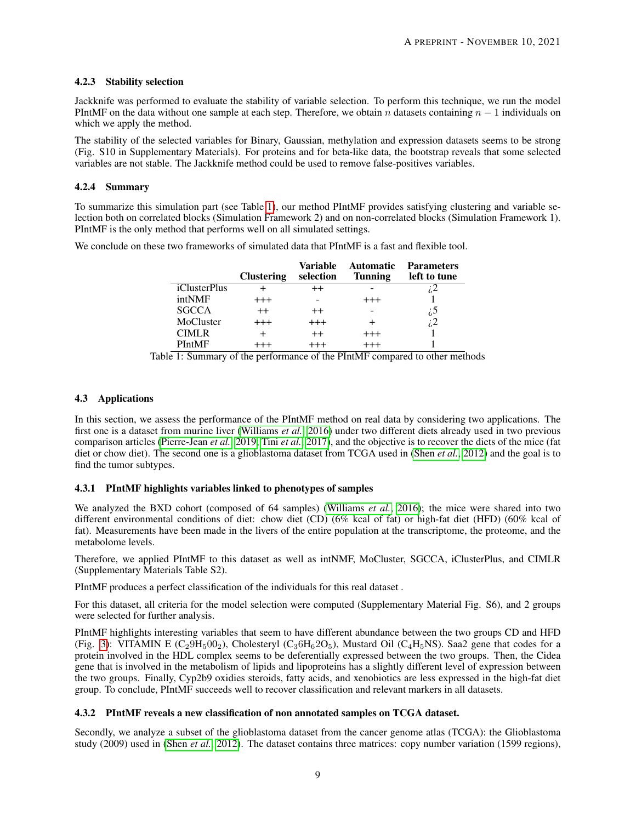## 4.2.3 Stability selection

Jackknife was performed to evaluate the stability of variable selection. To perform this technique, we run the model PIntMF on the data without one sample at each step. Therefore, we obtain n datasets containing  $n - 1$  individuals on which we apply the method.

The stability of the selected variables for Binary, Gaussian, methylation and expression datasets seems to be strong (Fig. S10 in Supplementary Materials). For proteins and for beta-like data, the bootstrap reveals that some selected variables are not stable. The Jackknife method could be used to remove false-positives variables.

## 4.2.4 Summary

To summarize this simulation part (see Table [1\)](#page-8-0), our method PIntMF provides satisfying clustering and variable selection both on correlated blocks (Simulation Framework 2) and on non-correlated blocks (Simulation Framework 1). PIntMF is the only method that performs well on all simulated settings.

<span id="page-8-0"></span>We conclude on these two frameworks of simulated data that PIntMF is a fast and flexible tool.

|                      | <b>Clustering</b> | Variable<br>selection | <b>Automatic</b><br><b>Tunning</b> | <b>Parameters</b><br>left to tune |
|----------------------|-------------------|-----------------------|------------------------------------|-----------------------------------|
| <i>i</i> ClusterPlus |                   | $^{\mathrm{++}}$      |                                    |                                   |
| intNMF               | $^{+++}$          |                       | $^{+++}$                           |                                   |
| <b>SGCCA</b>         | $^{++}$           | $^{++}$               |                                    | i5                                |
| MoCluster            | $^{+++}$          | $^{+++}$              |                                    | i 2                               |
| <b>CIMLR</b>         |                   | $^{\mathrm{+}}$       | $^{+++}$                           |                                   |
| PIntMF               |                   |                       |                                    |                                   |

Table 1: Summary of the performance of the PIntMF compared to other methods

## <span id="page-8-1"></span>4.3 Applications

In this section, we assess the performance of the PIntMF method on real data by considering two applications. The first one is a dataset from murine liver [\(Williams](#page-13-2) *et al.*, [2016\)](#page-13-2) under two different diets already used in two previous comparison articles [\(Pierre-Jean](#page-12-6) *et al.*, [2019;](#page-12-6) Tini *[et al.](#page-12-4)*, [2017\)](#page-12-4), and the objective is to recover the diets of the mice (fat diet or chow diet). The second one is a glioblastoma dataset from TCGA used in [\(Shen](#page-12-18) *et al.*, [2012\)](#page-12-18) and the goal is to find the tumor subtypes.

#### 4.3.1 PIntMF highlights variables linked to phenotypes of samples

We analyzed the BXD cohort (composed of 64 samples) [\(Williams](#page-13-2) *et al.*, [2016\)](#page-13-2); the mice were shared into two different environmental conditions of diet: chow diet (CD) (6% kcal of fat) or high-fat diet (HFD) (60% kcal of fat). Measurements have been made in the livers of the entire population at the transcriptome, the proteome, and the metabolome levels.

Therefore, we applied PIntMF to this dataset as well as intNMF, MoCluster, SGCCA, iClusterPlus, and CIMLR (Supplementary Materials Table S2).

PIntMF produces a perfect classification of the individuals for this real dataset .

For this dataset, all criteria for the model selection were computed (Supplementary Material Fig. S6), and 2 groups were selected for further analysis.

PIntMF highlights interesting variables that seem to have different abundance between the two groups CD and HFD (Fig. [3\)](#page-9-0): VITAMIN E (C<sub>2</sub>9H<sub>5</sub>00<sub>2</sub>), Cholesteryl (C<sub>3</sub>6H<sub>6</sub>2O<sub>5</sub>), Mustard Oil (C<sub>4</sub>H<sub>5</sub>NS). Saa2 gene that codes for a protein involved in the HDL complex seems to be deferentially expressed between the two groups. Then, the Cidea gene that is involved in the metabolism of lipids and lipoproteins has a slightly different level of expression between the two groups. Finally, Cyp2b9 oxidies steroids, fatty acids, and xenobiotics are less expressed in the high-fat diet group. To conclude, PIntMF succeeds well to recover classification and relevant markers in all datasets.

# 4.3.2 PIntMF reveals a new classification of non annotated samples on TCGA dataset.

Secondly, we analyze a subset of the glioblastoma dataset from the cancer genome atlas (TCGA): the Glioblastoma study (2009) used in [\(Shen](#page-12-18) *et al.*, [2012\)](#page-12-18). The dataset contains three matrices: copy number variation (1599 regions),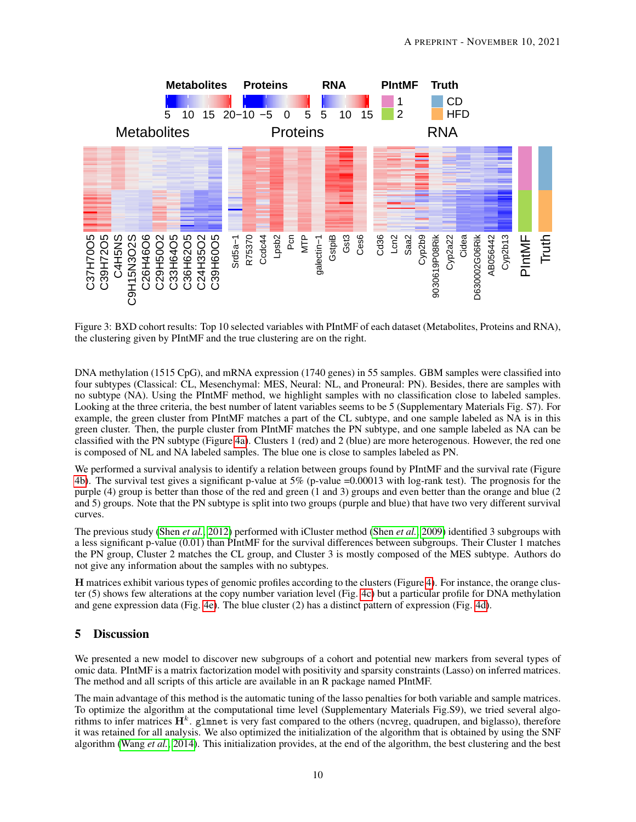<span id="page-9-0"></span>

Figure 3: BXD cohort results: Top 10 selected variables with PIntMF of each dataset (Metabolites, Proteins and RNA), the clustering given by PIntMF and the true clustering are on the right.

DNA methylation (1515 CpG), and mRNA expression (1740 genes) in 55 samples. GBM samples were classified into four subtypes (Classical: CL, Mesenchymal: MES, Neural: NL, and Proneural: PN). Besides, there are samples with no subtype (NA). Using the PIntMF method, we highlight samples with no classification close to labeled samples. Looking at the three criteria, the best number of latent variables seems to be 5 (Supplementary Materials Fig. S7). For example, the green cluster from PIntMF matches a part of the CL subtype, and one sample labeled as NA is in this green cluster. Then, the purple cluster from PIntMF matches the PN subtype, and one sample labeled as NA can be classified with the PN subtype (Figure [4a\)](#page-10-0). Clusters 1 (red) and 2 (blue) are more heterogenous. However, the red one is composed of NL and NA labeled samples. The blue one is close to samples labeled as PN.

We performed a survival analysis to identify a relation between groups found by PIntMF and the survival rate (Figure [4b\)](#page-10-1). The survival test gives a significant p-value at 5% (p-value =0.00013 with log-rank test). The prognosis for the purple (4) group is better than those of the red and green (1 and 3) groups and even better than the orange and blue (2 and 5) groups. Note that the PN subtype is split into two groups (purple and blue) that have two very different survival curves.

The previous study [\(Shen](#page-12-18) *et al.*, [2012\)](#page-12-18) performed with iCluster method [\(Shen](#page-12-25) *et al.*, [2009\)](#page-12-25) identified 3 subgroups with a less significant p-value (0.01) than PIntMF for the survival differences between subgroups. Their Cluster 1 matches the PN group, Cluster 2 matches the CL group, and Cluster 3 is mostly composed of the MES subtype. Authors do not give any information about the samples with no subtypes.

H matrices exhibit various types of genomic profiles according to the clusters (Figure [4\)](#page-10-2). For instance, the orange cluster (5) shows few alterations at the copy number variation level (Fig. [4c\)](#page-10-3) but a particular profile for DNA methylation and gene expression data (Fig. [4e\)](#page-10-4). The blue cluster (2) has a distinct pattern of expression (Fig. [4d\)](#page-10-5).

# 5 Discussion

We presented a new model to discover new subgroups of a cohort and potential new markers from several types of omic data. PIntMF is a matrix factorization model with positivity and sparsity constraints (Lasso) on inferred matrices. The method and all scripts of this article are available in an R package named PIntMF.

The main advantage of this method is the automatic tuning of the lasso penalties for both variable and sample matrices. To optimize the algorithm at the computational time level (Supplementary Materials Fig.S9), we tried several algorithms to infer matrices  $H^k$ . glmnet is very fast compared to the others (ncvreg, quadrupen, and biglasso), therefore it was retained for all analysis. We also optimized the initialization of the algorithm that is obtained by using the SNF algorithm [\(Wang](#page-13-4) *et al.*, [2014\)](#page-13-4). This initialization provides, at the end of the algorithm, the best clustering and the best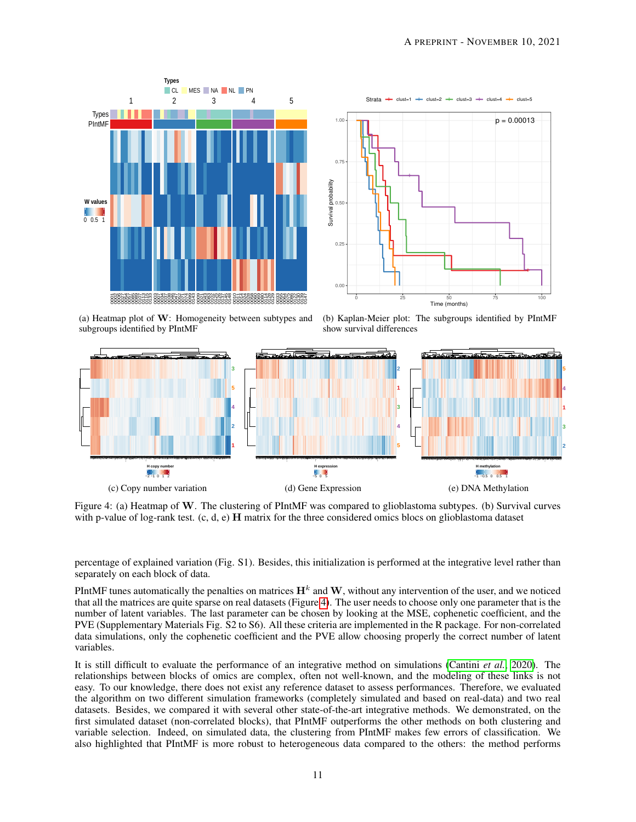<span id="page-10-2"></span><span id="page-10-0"></span>



(a) Heatmap plot of W: Homogeneity between subtypes and subgroups identified by PIntMF

<span id="page-10-4"></span><span id="page-10-1"></span>(b) Kaplan-Meier plot: The subgroups identified by PIntMF show survival differences

<span id="page-10-3"></span>

<span id="page-10-5"></span>Figure 4: (a) Heatmap of W. The clustering of PIntMF was compared to glioblastoma subtypes. (b) Survival curves with p-value of log-rank test. (c, d, e) H matrix for the three considered omics blocs on glioblastoma dataset

percentage of explained variation (Fig. S1). Besides, this initialization is performed at the integrative level rather than separately on each block of data.

PIntMF tunes automatically the penalties on matrices  $H^k$  and W, without any intervention of the user, and we noticed that all the matrices are quite sparse on real datasets (Figure [4\)](#page-10-2). The user needs to choose only one parameter that is the number of latent variables. The last parameter can be chosen by looking at the MSE, cophenetic coefficient, and the PVE (Supplementary Materials Fig. S2 to S6). All these criteria are implemented in the R package. For non-correlated data simulations, only the cophenetic coefficient and the PVE allow choosing properly the correct number of latent variables.

It is still difficult to evaluate the performance of an integrative method on simulations [\(Cantini](#page-11-3) *et al.*, [2020\)](#page-11-3). The relationships between blocks of omics are complex, often not well-known, and the modeling of these links is not easy. To our knowledge, there does not exist any reference dataset to assess performances. Therefore, we evaluated the algorithm on two different simulation frameworks (completely simulated and based on real-data) and two real datasets. Besides, we compared it with several other state-of-the-art integrative methods. We demonstrated, on the first simulated dataset (non-correlated blocks), that PIntMF outperforms the other methods on both clustering and variable selection. Indeed, on simulated data, the clustering from PIntMF makes few errors of classification. We also highlighted that PIntMF is more robust to heterogeneous data compared to the others: the method performs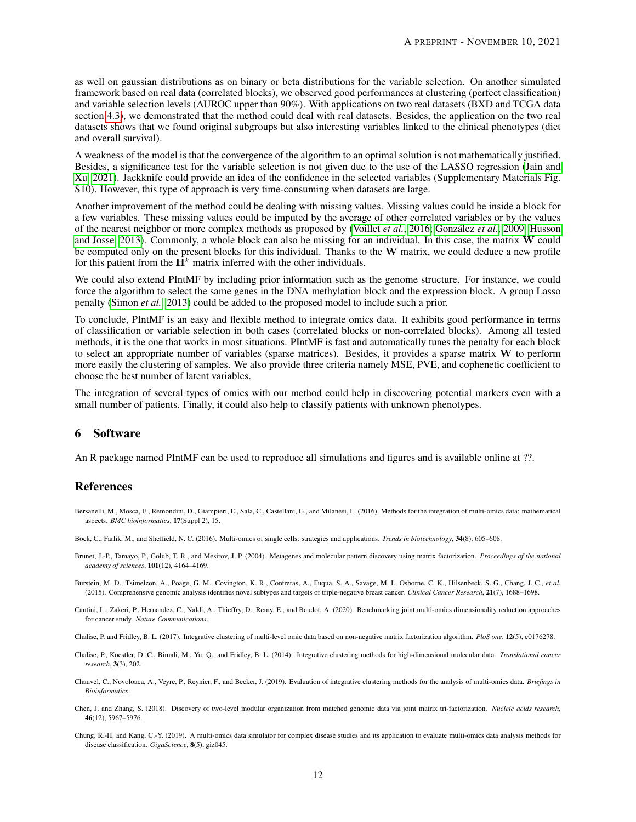as well on gaussian distributions as on binary or beta distributions for the variable selection. On another simulated framework based on real data (correlated blocks), we observed good performances at clustering (perfect classification) and variable selection levels (AUROC upper than 90%). With applications on two real datasets (BXD and TCGA data section [4.3\)](#page-8-1), we demonstrated that the method could deal with real datasets. Besides, the application on the two real datasets shows that we found original subgroups but also interesting variables linked to the clinical phenotypes (diet and overall survival).

A weakness of the model is that the convergence of the algorithm to an optimal solution is not mathematically justified. Besides, a significance test for the variable selection is not given due to the use of the LASSO regression [\(Jain and](#page-12-26) [Xu, 2021\)](#page-12-26). Jackknife could provide an idea of the confidence in the selected variables (Supplementary Materials Fig. S10). However, this type of approach is very time-consuming when datasets are large.

Another improvement of the method could be dealing with missing values. Missing values could be inside a block for a few variables. These missing values could be imputed by the average of other correlated variables or by the values of the nearest neighbor or more complex methods as proposed by [\(Voillet](#page-13-5) *et al.*, [2016;](#page-13-5) González *et al.*, [2009;](#page-12-27) [Husson](#page-12-28) [and Josse, 2013\)](#page-12-28). Commonly, a whole block can also be missing for an individual. In this case, the matrix W could be computed only on the present blocks for this individual. Thanks to the W matrix, we could deduce a new profile for this patient from the  $H^k$  matrix inferred with the other individuals.

We could also extend PIntMF by including prior information such as the genome structure. For instance, we could force the algorithm to select the same genes in the DNA methylation block and the expression block. A group Lasso penalty [\(Simon](#page-12-29) *et al.*, [2013\)](#page-12-29) could be added to the proposed model to include such a prior.

To conclude, PIntMF is an easy and flexible method to integrate omics data. It exhibits good performance in terms of classification or variable selection in both cases (correlated blocks or non-correlated blocks). Among all tested methods, it is the one that works in most situations. PIntMF is fast and automatically tunes the penalty for each block to select an appropriate number of variables (sparse matrices). Besides, it provides a sparse matrix W to perform more easily the clustering of samples. We also provide three criteria namely MSE, PVE, and cophenetic coefficient to choose the best number of latent variables.

The integration of several types of omics with our method could help in discovering potential markers even with a small number of patients. Finally, it could also help to classify patients with unknown phenotypes.

# 6 Software

An R package named PIntMF can be used to reproduce all simulations and figures and is available online at ??.

## References

- <span id="page-11-1"></span>Bersanelli, M., Mosca, E., Remondini, D., Giampieri, E., Sala, C., Castellani, G., and Milanesi, L. (2016). Methods for the integration of multi-omics data: mathematical aspects. *BMC bioinformatics*, 17(Suppl 2), 15.
- <span id="page-11-0"></span>Bock, C., Farlik, M., and Sheffield, N. C. (2016). Multi-omics of single cells: strategies and applications. *Trends in biotechnology*, 34(8), 605–608.
- <span id="page-11-9"></span>Brunet, J.-P., Tamayo, P., Golub, T. R., and Mesirov, J. P. (2004). Metagenes and molecular pattern discovery using matrix factorization. *Proceedings of the national academy of sciences*, 101(12), 4164–4169.
- <span id="page-11-4"></span>Burstein, M. D., Tsimelzon, A., Poage, G. M., Covington, K. R., Contreras, A., Fuqua, S. A., Savage, M. I., Osborne, C. K., Hilsenbeck, S. G., Chang, J. C., *et al.* (2015). Comprehensive genomic analysis identifies novel subtypes and targets of triple-negative breast cancer. *Clinical Cancer Research*, 21(7), 1688–1698.
- <span id="page-11-3"></span>Cantini, L., Zakeri, P., Hernandez, C., Naldi, A., Thieffry, D., Remy, E., and Baudot, A. (2020). Benchmarking joint multi-omics dimensionality reduction approaches for cancer study. *Nature Communications*.
- <span id="page-11-8"></span>Chalise, P. and Fridley, B. L. (2017). Integrative clustering of multi-level omic data based on non-negative matrix factorization algorithm. *PloS one*, 12(5), e0176278.
- <span id="page-11-5"></span>Chalise, P., Koestler, D. C., Bimali, M., Yu, Q., and Fridley, B. L. (2014). Integrative clustering methods for high-dimensional molecular data. *Translational cancer research*, 3(3), 202.
- <span id="page-11-2"></span>Chauvel, C., Novoloaca, A., Veyre, P., Reynier, F., and Becker, J. (2019). Evaluation of integrative clustering methods for the analysis of multi-omics data. *Briefings in Bioinformatics*.
- <span id="page-11-6"></span>Chen, J. and Zhang, S. (2018). Discovery of two-level modular organization from matched genomic data via joint matrix tri-factorization. *Nucleic acids research*, 46(12), 5967–5976.
- <span id="page-11-7"></span>Chung, R.-H. and Kang, C.-Y. (2019). A multi-omics data simulator for complex disease studies and its application to evaluate multi-omics data analysis methods for disease classification. *GigaScience*, 8(5), giz045.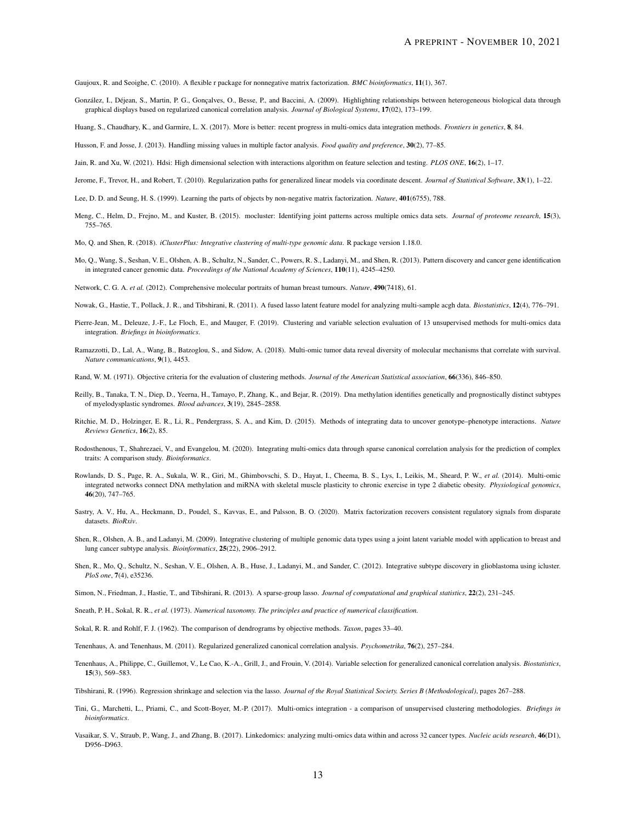<span id="page-12-21"></span>Gaujoux, R. and Seoighe, C. (2010). A flexible r package for nonnegative matrix factorization. *BMC bioinformatics*, 11(1), 367.

<span id="page-12-27"></span>González, I., Déjean, S., Martin, P. G., Gonçalves, O., Besse, P., and Baccini, A. (2009). Highlighting relationships between heterogeneous biological data through graphical displays based on regularized canonical correlation analysis. *Journal of Biological Systems*, 17(02), 173–199.

<span id="page-12-5"></span>Huang, S., Chaudhary, K., and Garmire, L. X. (2017). More is better: recent progress in multi-omics data integration methods. *Frontiers in genetics*, 8, 84.

<span id="page-12-28"></span>Husson, F. and Josse, J. (2013). Handling missing values in multiple factor analysis. *Food quality and preference*, 30(2), 77–85.

<span id="page-12-26"></span>Jain, R. and Xu, W. (2021). Hdsi: High dimensional selection with interactions algorithm on feature selection and testing. *PLOS ONE*, 16(2), 1–17.

- <span id="page-12-19"></span>Jerome, F., Trevor, H., and Robert, T. (2010). Regularization paths for generalized linear models via coordinate descent. *Journal of Statistical Software*, 33(1), 1–22.
- <span id="page-12-11"></span>Lee, D. D. and Seung, H. S. (1999). Learning the parts of objects by non-negative matrix factorization. *Nature*, 401(6755), 788.
- <span id="page-12-15"></span>Meng, C., Helm, D., Frejno, M., and Kuster, B. (2015). mocluster: Identifying joint patterns across multiple omics data sets. *Journal of proteome research*, 15(3), 755–765.
- <span id="page-12-17"></span>Mo, Q. and Shen, R. (2018). *iClusterPlus: Integrative clustering of multi-type genomic data*. R package version 1.18.0.
- <span id="page-12-13"></span>Mo, Q., Wang, S., Seshan, V. E., Olshen, A. B., Schultz, N., Sander, C., Powers, R. S., Ladanyi, M., and Shen, R. (2013). Pattern discovery and cancer gene identification in integrated cancer genomic data. *Proceedings of the National Academy of Sciences*, 110(11), 4245–4250.

<span id="page-12-1"></span>Network, C. G. A. *et al.* (2012). Comprehensive molecular portraits of human breast tumours. *Nature*, 490(7418), 61.

- <span id="page-12-20"></span>Nowak, G., Hastie, T., Pollack, J. R., and Tibshirani, R. (2011). A fused lasso latent feature model for analyzing multi-sample acgh data. *Biostatistics*, 12(4), 776–791.
- <span id="page-12-6"></span>Pierre-Jean, M., Deleuze, J.-F., Le Floch, E., and Mauger, F. (2019). Clustering and variable selection evaluation of 13 unsupervised methods for multi-omics data integration. *Briefings in bioinformatics*.
- <span id="page-12-16"></span>Ramazzotti, D., Lal, A., Wang, B., Batzoglou, S., and Sidow, A. (2018). Multi-omic tumor data reveal diversity of molecular mechanisms that correlate with survival. *Nature communications*, 9(1), 4453.
- <span id="page-12-24"></span>Rand, W. M. (1971). Objective criteria for the evaluation of clustering methods. *Journal of the American Statistical association*, 66(336), 846–850.
- <span id="page-12-12"></span>Reilly, B., Tanaka, T. N., Diep, D., Yeerna, H., Tamayo, P., Zhang, K., and Bejar, R. (2019). Dna methylation identifies genetically and prognostically distinct subtypes of myelodysplastic syndromes. *Blood advances*, 3(19), 2845–2858.
- <span id="page-12-0"></span>Ritchie, M. D., Holzinger, E. R., Li, R., Pendergrass, S. A., and Kim, D. (2015). Methods of integrating data to uncover genotype–phenotype interactions. *Nature Reviews Genetics*, 16(2), 85.
- <span id="page-12-10"></span>Rodosthenous, T., Shahrezaei, V., and Evangelou, M. (2020). Integrating multi-omics data through sparse canonical correlation analysis for the prediction of complex traits: A comparison study. *Bioinformatics*.
- <span id="page-12-3"></span>Rowlands, D. S., Page, R. A., Sukala, W. R., Giri, M., Ghimbovschi, S. D., Hayat, I., Cheema, B. S., Lys, I., Leikis, M., Sheard, P. W., *et al.* (2014). Multi-omic integrated networks connect DNA methylation and miRNA with skeletal muscle plasticity to chronic exercise in type 2 diabetic obesity. *Physiological genomics*, 46(20), 747–765.
- <span id="page-12-7"></span>Sastry, A. V., Hu, A., Heckmann, D., Poudel, S., Kavvas, E., and Palsson, B. O. (2020). Matrix factorization recovers consistent regulatory signals from disparate datasets. *BioRxiv*.
- <span id="page-12-25"></span>Shen, R., Olshen, A. B., and Ladanyi, M. (2009). Integrative clustering of multiple genomic data types using a joint latent variable model with application to breast and lung cancer subtype analysis. *Bioinformatics*, 25(22), 2906–2912.
- <span id="page-12-18"></span>Shen, R., Mo, O., Schultz, N., Seshan, V. E., Olshen, A. B., Huse, J., Ladanyi, M., and Sander, C. (2012). Integrative subtype discovery in glioblastoma using icluster. *PloS one*, 7(4), e35236.
- <span id="page-12-29"></span>Simon, N., Friedman, J., Hastie, T., and Tibshirani, R. (2013). A sparse-group lasso. *Journal of computational and graphical statistics*, 22(2), 231–245.
- <span id="page-12-23"></span>Sneath, P. H., Sokal, R. R., *et al.* (1973). *Numerical taxonomy. The principles and practice of numerical classification.*
- <span id="page-12-22"></span>Sokal, R. R. and Rohlf, F. J. (1962). The comparison of dendrograms by objective methods. *Taxon*, pages 33–40.
- <span id="page-12-8"></span>Tenenhaus, A. and Tenenhaus, M. (2011). Regularized generalized canonical correlation analysis. *Psychometrika*, 76(2), 257–284.
- <span id="page-12-9"></span>Tenenhaus, A., Philippe, C., Guillemot, V., Le Cao, K.-A., Grill, J., and Frouin, V. (2014). Variable selection for generalized canonical correlation analysis. *Biostatistics*, 15(3), 569–583.

<span id="page-12-14"></span>Tibshirani, R. (1996). Regression shrinkage and selection via the lasso. *Journal of the Royal Statistical Society. Series B (Methodological)*, pages 267–288.

- <span id="page-12-4"></span>Tini, G., Marchetti, L., Priami, C., and Scott-Boyer, M.-P. (2017). Multi-omics integration - a comparison of unsupervised clustering methodologies. *Briefings in bioinformatics*.
- <span id="page-12-2"></span>Vasaikar, S. V., Straub, P., Wang, J., and Zhang, B. (2017). Linkedomics: analyzing multi-omics data within and across 32 cancer types. *Nucleic acids research*, 46(D1), D956–D963.